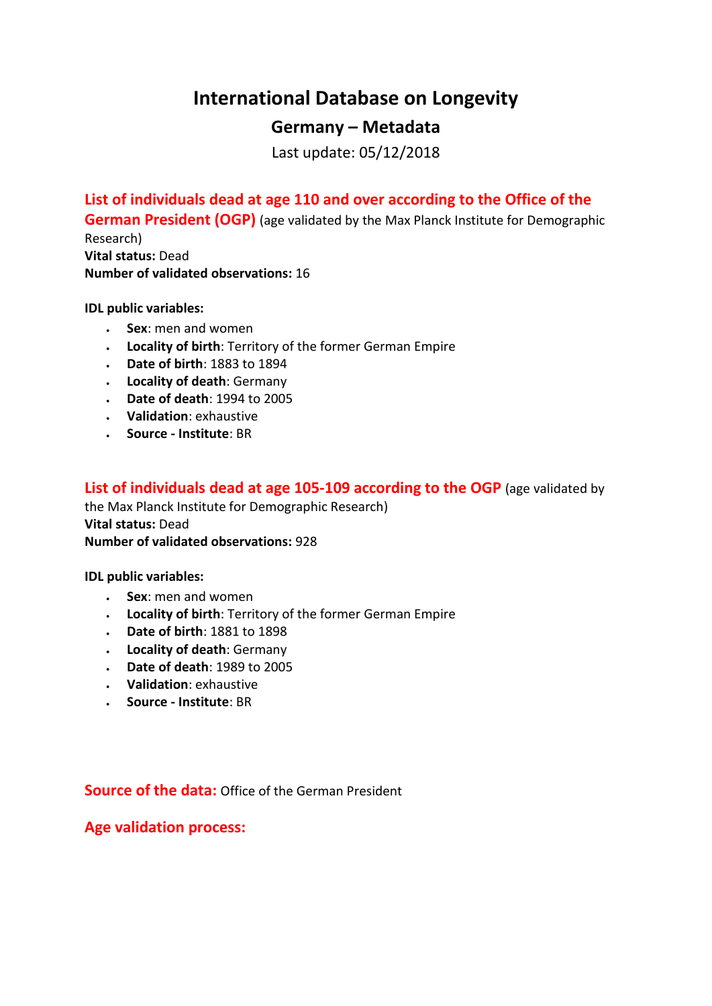## **International Database on Longevity**

## **Germany – Metadata**

Last update: 05/12/2018

**List of individuals dead at age 110 and over according to the Office of the German President (OGP)** (age validated by the Max Planck Institute for Demographic

Research) **Vital status:** Dead **Number of validated observations:** 16

**IDL public variables:** 

- **Sex**: men and women
- **Locality of birth**: Territory of the former German Empire
- **Date of birth**: 1883 to 1894
- **Locality of death**: Germany
- **Date of death**: 1994 to 2005
- **Validation**: exhaustive
- **Source - Institute**: BR

**List of individuals dead at age 105-109 according to the OGP** (age validated by

the Max Planck Institute for Demographic Research) **Vital status:** Dead **Number of validated observations:** 928

**IDL public variables:** 

- **Sex**: men and women
- **Locality of birth**: Territory of the former German Empire
- **Date of birth**: 1881 to 1898
- **Locality of death**: Germany
- **Date of death**: 1989 to 2005
- **Validation**: exhaustive
- **Source - Institute**: BR

**Source of the data:** Office of the German President

**Age validation process:**